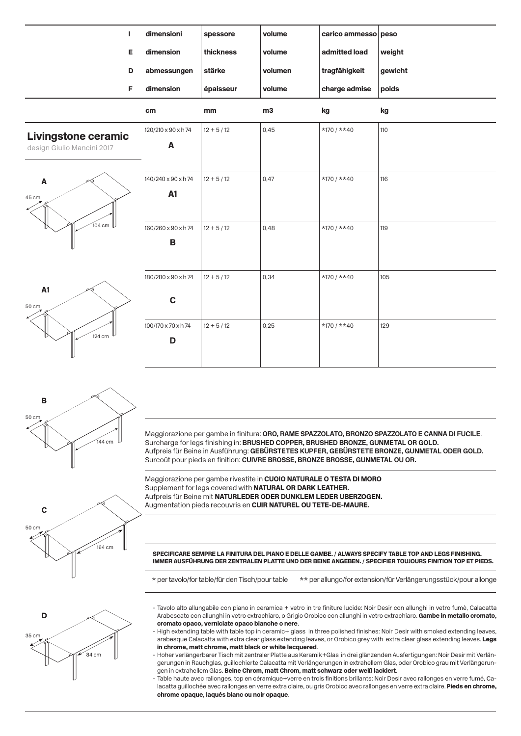|                                                     | $\mathbf{I}$ | dimensioni          | spessore      | volume  | carico ammesso peso |         |
|-----------------------------------------------------|--------------|---------------------|---------------|---------|---------------------|---------|
|                                                     | Е            | dimension           | thickness     | volume  | admitted load       | weight  |
|                                                     | D            | abmessungen         | stärke        | volumen | tragfähigkeit       | gewicht |
|                                                     | F            | dimension           | épaisseur     | volume  | charge admise       | poids   |
|                                                     |              | cm                  | mm            | m3      | kg                  | kg      |
| Livingstone ceramic<br>design Giulio Mancini 2017   |              | 120/210 x 90 x h 74 | $12 + 5 / 12$ | 0,45    | $*170 / * *40$      | 110     |
|                                                     |              | A                   |               |         |                     |         |
| $\pmb{\mathsf{A}}$<br>45 cm<br>$104$ cm $\mathbb L$ |              |                     |               |         |                     |         |
|                                                     |              | 140/240 x 90 x h 74 | $12 + 5 / 12$ | 0,47    | $*170 / * *40$      | 116     |
|                                                     |              | <b>A1</b>           |               |         |                     |         |
|                                                     |              | 160/260 x 90 x h 74 | $12 + 5 / 12$ | 0,48    | $*170 / * *40$      | 119     |
|                                                     |              | $\, {\bf B}$        |               |         |                     |         |
|                                                     |              |                     |               |         |                     |         |
| A1<br>50 cm<br>124 cm                               |              | 180/280 x 90 x h 74 | $12 + 5 / 12$ | 0,34    | $*170 / * *40$      | 105     |
|                                                     |              | $\mathbf C$         |               |         |                     |         |
|                                                     |              | 100/170 x 70 x h 74 | $12 + 5 / 12$ | 0,25    | $*170 / * *40$      | 129     |
|                                                     |              | D                   |               |         |                     |         |



Maggiorazione per gambe in finitura: **ORO, RAME SPAZZOLATO, BRONZO SPAZZOLATO E CANNA DI FUCILE**. Surcharge for legs finishing in: **BRUSHED COPPER, BRUSHED BRONZE, GUNMETAL OR GOLD.** Aufpreis für Beine in Ausführung: **GEBÜRSTETES KUPFER, GEBÜRSTETE BRONZE, GUNMETAL ODER GOLD.** Surcoût pour pieds en finition: **CUIVRE BROSSE, BRONZE BROSSE, GUNMETAL OU OR.**

Maggiorazione per gambe rivestite in CUOIO NATURALE O TESTA DI MORO Supplement for legs covered with NATURAL OR DARK LEATHER. Aufpreis für Beine mit NATURLEDER ODER DUNKLEM LEDER UBERZOGEN. Augmentation pieds recouvris en CUIR NATUREL OU TETE-DE-MAURE.

SPECIFICARE SEMPRE LA FINITURA DEL PIANO E DELLE GAMBE. / ALWAYS SPECIFY TABLE TOP AND LEGS FINISHING. IMMER AUSFÜHRUNG DER ZENTRALEN PLATTE UND DER BEINE ANGEBEN. / SPECIFIER TOUJOURS FINITION TOP ET PIEDS.

\* per tavolo/for table/für den Tisch/pour table \*\* per allungo/for extension/für Verlängerungsstück/pour allonge

- Tavolo alto allungabile con piano in ceramica + vetro in tre finiture lucide: Noir Desir con allunghi in vetro fumè, Calacatta Arabescato con allunghi in vetro extrachiaro, o Grigio Orobico con allunghi in vetro extrachiaro. Gambe in metallo cromato, cromato opaco, verniciate opaco bianche o nere.
- High extending table with table top in ceramic+ glass in three polished finishes: Noir Desir with smoked extending leaves, arabesque Calacatta with extra clear glass extending leaves, or Orobico grey with extra clear glass extending leaves. Legs in chrome, matt chrome, matt black or white lacquered.
- Hoher verlängerbarer Tisch mit zentraler Platte aus Keramik+Glas in drei glänzenden Ausfertigungen: Noir Desir mit Verlängerungen in Rauchglas, guillochierte Calacatta mit Verlängerungen in extrahellem Glas, oder Orobico grau mit Verlängerungen in extrahellem Glas. Beine Chrom, matt Chrom, matt schwarz oder weiß lackiert.
- Table haute avec rallonges, top en céramique+verre en trois finitions brillants: Noir Desir avec rallonges en verre fumé, Calacatta guillochée avec rallonges en verre extra claire, ou gris Orobico avec rallonges en verre extra claire. Pieds en chrome, chrome opaque, laqués blanc ou noir opaque.